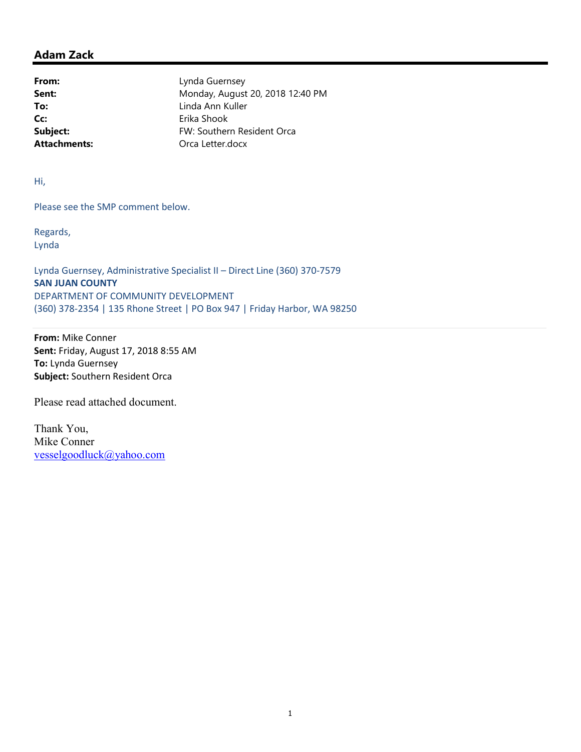## Adam Zack

Cc: Erika Shook

From: Lynda Guernsey **Sent:** Monday, August 20, 2018 12:40 PM To: Linda Ann Kuller Subject: FW: Southern Resident Orca Attachments: Orca Letter.docx

Hi,

Please see the SMP comment below.

Regards, Lynda

Lynda Guernsey, Administrative Specialist II – Direct Line (360) 370-7579 SAN JUAN COUNTY DEPARTMENT OF COMMUNITY DEVELOPMENT (360) 378-2354 | 135 Rhone Street | PO Box 947 | Friday Harbor, WA 98250

From: Mike Conner Sent: Friday, August 17, 2018 8:55 AM To: Lynda Guernsey Subject: Southern Resident Orca

Please read attached document.

Thank You, Mike Conner vesselgoodluck@yahoo.com